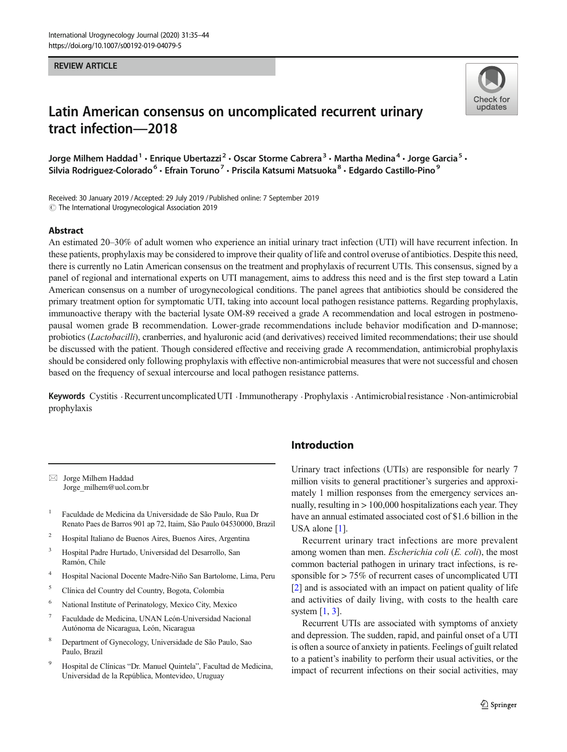## REVIEW ARTICLE



# Latin American consensus on uncomplicated recurrent urinary tract infection—2018

Jorge Milhem Haddad<sup>1</sup> • Enrique Ubertazzi<sup>2</sup> • Oscar Storme Cabrera<sup>3</sup> • Martha Medina<sup>4</sup> • Jorge Garcia<sup>5</sup> • Silvia Rodriguez-Colorado<sup>6</sup> · Efrain Toruno<sup>7</sup> · Priscila Katsumi Matsuoka<sup>8</sup> · Edgardo Castillo-Pino<sup>9</sup>

Received: 30 January 2019 /Accepted: 29 July 2019 /Published online: 7 September 2019 $\odot$  The International Urogynecological Association 2019

## Abstract

An estimated 20–30% of adult women who experience an initial urinary tract infection (UTI) will have recurrent infection. In these patients, prophylaxis may be considered to improve their quality of life and control overuse of antibiotics. Despite this need, there is currently no Latin American consensus on the treatment and prophylaxis of recurrent UTIs. This consensus, signed by a panel of regional and international experts on UTI management, aims to address this need and is the first step toward a Latin American consensus on a number of urogynecological conditions. The panel agrees that antibiotics should be considered the primary treatment option for symptomatic UTI, taking into account local pathogen resistance patterns. Regarding prophylaxis, immunoactive therapy with the bacterial lysate OM-89 received a grade A recommendation and local estrogen in postmenopausal women grade B recommendation. Lower-grade recommendations include behavior modification and D-mannose; probiotics (Lactobacilli), cranberries, and hyaluronic acid (and derivatives) received limited recommendations; their use should be discussed with the patient. Though considered effective and receiving grade A recommendation, antimicrobial prophylaxis should be considered only following prophylaxis with effective non-antimicrobial measures that were not successful and chosen based on the frequency of sexual intercourse and local pathogen resistance patterns.

Keywords Cystitis . Recurrent uncomplicated UTI . Immunotherapy . Prophylaxis . Antimicrobial resistance . Non-antimicrobial prophylaxis

 $\boxtimes$  Jorge Milhem Haddad [Jorge\\_milhem@uol.com.br](mailto:Jorge_milhem@uol.com.br)

- <sup>1</sup> Faculdade de Medicina da Universidade de São Paulo, Rua Dr Renato Paes de Barros 901 ap 72, Itaim, São Paulo 04530000, Brazil
- <sup>2</sup> Hospital Italiano de Buenos Aires, Buenos Aires, Argentina
- <sup>3</sup> Hospital Padre Hurtado, Universidad del Desarrollo, San Ramón, Chile
- <sup>4</sup> Hospital Nacional Docente Madre-Niño San Bartolome, Lima, Peru
- <sup>5</sup> Clínica del Country del Country, Bogota, Colombia
- <sup>6</sup> National Institute of Perinatology, Mexico City, Mexico
- <sup>7</sup> Faculdade de Medicina, UNAN León-Universidad Nacional Autónoma de Nicaragua, León, Nicaragua
- <sup>8</sup> Department of Gynecology, Universidade de São Paulo, Sao Paulo, Brazil
- <sup>9</sup> Hospital de Clínicas "Dr. Manuel Quintela", Facultad de Medicina, Universidad de la República, Montevideo, Uruguay

# Introduction

Urinary tract infections (UTIs) are responsible for nearly 7 million visits to general practitioner's surgeries and approximately 1 million responses from the emergency services annually, resulting in  $> 100,000$  hospitalizations each year. They have an annual estimated associated cost of \$1.6 billion in the USA alone [\[1\]](#page-8-0).

Recurrent urinary tract infections are more prevalent among women than men. Escherichia coli (E. coli), the most common bacterial pathogen in urinary tract infections, is responsible for > 75% of recurrent cases of uncomplicated UTI [\[2](#page-8-0)] and is associated with an impact on patient quality of life and activities of daily living, with costs to the health care system  $[1, 3]$  $[1, 3]$  $[1, 3]$  $[1, 3]$ .

Recurrent UTIs are associated with symptoms of anxiety and depression. The sudden, rapid, and painful onset of a UTI is often a source of anxiety in patients. Feelings of guilt related to a patient's inability to perform their usual activities, or the impact of recurrent infections on their social activities, may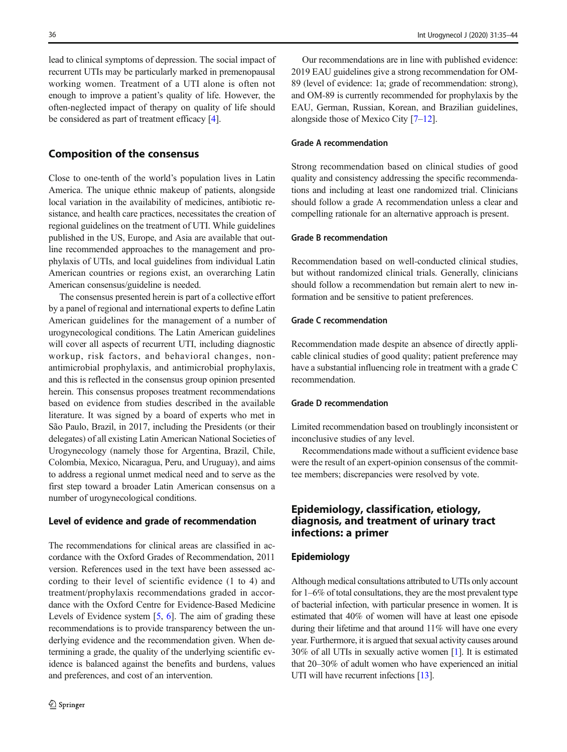lead to clinical symptoms of depression. The social impact of recurrent UTIs may be particularly marked in premenopausal working women. Treatment of a UTI alone is often not enough to improve a patient's quality of life. However, the often-neglected impact of therapy on quality of life should be considered as part of treatment efficacy [[4\]](#page-8-0).

## Composition of the consensus

Close to one-tenth of the world's population lives in Latin America. The unique ethnic makeup of patients, alongside local variation in the availability of medicines, antibiotic resistance, and health care practices, necessitates the creation of regional guidelines on the treatment of UTI. While guidelines published in the US, Europe, and Asia are available that outline recommended approaches to the management and prophylaxis of UTIs, and local guidelines from individual Latin American countries or regions exist, an overarching Latin American consensus/guideline is needed.

The consensus presented herein is part of a collective effort by a panel of regional and international experts to define Latin American guidelines for the management of a number of urogynecological conditions. The Latin American guidelines will cover all aspects of recurrent UTI, including diagnostic workup, risk factors, and behavioral changes, nonantimicrobial prophylaxis, and antimicrobial prophylaxis, and this is reflected in the consensus group opinion presented herein. This consensus proposes treatment recommendations based on evidence from studies described in the available literature. It was signed by a board of experts who met in São Paulo, Brazil, in 2017, including the Presidents (or their delegates) of all existing Latin American National Societies of Urogynecology (namely those for Argentina, Brazil, Chile, Colombia, Mexico, Nicaragua, Peru, and Uruguay), and aims to address a regional unmet medical need and to serve as the first step toward a broader Latin American consensus on a number of urogynecological conditions.

## Level of evidence and grade of recommendation

The recommendations for clinical areas are classified in accordance with the Oxford Grades of Recommendation, 2011 version. References used in the text have been assessed according to their level of scientific evidence (1 to 4) and treatment/prophylaxis recommendations graded in accordance with the Oxford Centre for Evidence-Based Medicine Levels of Evidence system  $[5, 6]$  $[5, 6]$  $[5, 6]$ . The aim of grading these recommendations is to provide transparency between the underlying evidence and the recommendation given. When determining a grade, the quality of the underlying scientific evidence is balanced against the benefits and burdens, values and preferences, and cost of an intervention.

Our recommendations are in line with published evidence: 2019 EAU guidelines give a strong recommendation for OM-89 (level of evidence: 1a; grade of recommendation: strong), and OM-89 is currently recommended for prophylaxis by the EAU, German, Russian, Korean, and Brazilian guidelines, alongside those of Mexico City [\[7](#page-8-0)–[12](#page-8-0)].

## Grade A recommendation

Strong recommendation based on clinical studies of good quality and consistency addressing the specific recommendations and including at least one randomized trial. Clinicians should follow a grade A recommendation unless a clear and compelling rationale for an alternative approach is present.

## Grade B recommendation

Recommendation based on well-conducted clinical studies, but without randomized clinical trials. Generally, clinicians should follow a recommendation but remain alert to new information and be sensitive to patient preferences.

## Grade C recommendation

Recommendation made despite an absence of directly applicable clinical studies of good quality; patient preference may have a substantial influencing role in treatment with a grade C recommendation.

## Grade D recommendation

Limited recommendation based on troublingly inconsistent or inconclusive studies of any level.

Recommendations made without a sufficient evidence base were the result of an expert-opinion consensus of the committee members; discrepancies were resolved by vote.

# Epidemiology, classification, etiology, diagnosis, and treatment of urinary tract infections: a primer

## Epidemiology

Although medical consultations attributed to UTIs only account for 1–6% of total consultations, they are the most prevalent type of bacterial infection, with particular presence in women. It is estimated that 40% of women will have at least one episode during their lifetime and that around 11% will have one every year. Furthermore, it is argued that sexual activity causes around 30% of all UTIs in sexually active women [\[1\]](#page-8-0). It is estimated that 20–30% of adult women who have experienced an initial UTI will have recurrent infections [\[13\]](#page-8-0).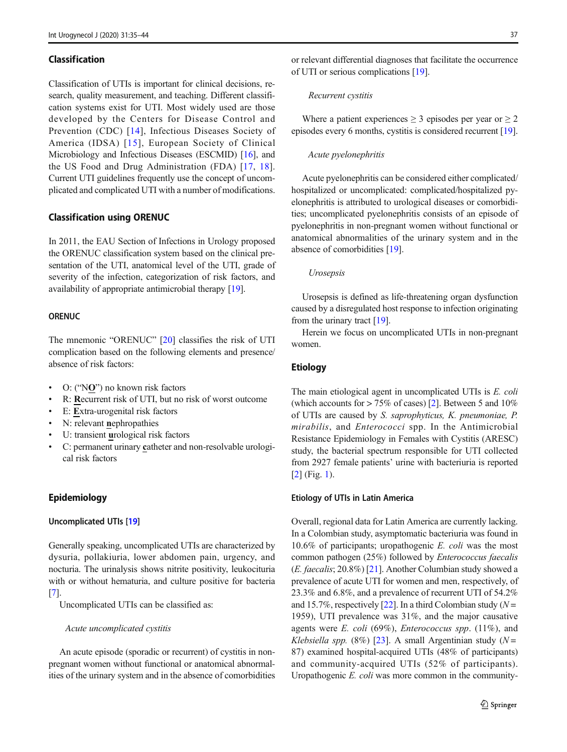## Classification

Classification of UTIs is important for clinical decisions, research, quality measurement, and teaching. Different classification systems exist for UTI. Most widely used are those developed by the Centers for Disease Control and Prevention (CDC) [[14](#page-8-0)], Infectious Diseases Society of America (IDSA) [[15\]](#page-8-0), European Society of Clinical Microbiology and Infectious Diseases (ESCMID) [[16\]](#page-8-0), and the US Food and Drug Administration (FDA) [[17](#page-8-0), [18](#page-8-0)]. Current UTI guidelines frequently use the concept of uncomplicated and complicated UTI with a number of modifications.

## Classification using ORENUC

In 2011, the EAU Section of Infections in Urology proposed the ORENUC classification system based on the clinical presentation of the UTI, anatomical level of the UTI, grade of severity of the infection, categorization of risk factors, and availability of appropriate antimicrobial therapy [[19](#page-8-0)].

## **ORENUC**

The mnemonic "ORENUC" [\[20](#page-8-0)] classifies the risk of UTI complication based on the following elements and presence/ absence of risk factors:

- O: ("NO") no known risk factors
- R: Recurrent risk of UTI, but no risk of worst outcome
- E: Extra-urogenital risk factors
- N: relevant nephropathies
- U: transient urological risk factors
- C: permanent urinary catheter and non-resolvable urological risk factors

## Epidemiology

### Uncomplicated UTIs [[19](#page-8-0)]

Generally speaking, uncomplicated UTIs are characterized by dysuria, pollakiuria, lower abdomen pain, urgency, and nocturia. The urinalysis shows nitrite positivity, leukocituria with or without hematuria, and culture positive for bacteria [\[7](#page-8-0)].

Uncomplicated UTIs can be classified as:

#### Acute uncomplicated cystitis

An acute episode (sporadic or recurrent) of cystitis in nonpregnant women without functional or anatomical abnormalities of the urinary system and in the absence of comorbidities or relevant differential diagnoses that facilitate the occurrence of UTI or serious complications [\[19](#page-8-0)].

#### Recurrent cystitis

Where a patient experiences  $\geq 3$  episodes per year or  $\geq 2$ episodes every 6 months, cystitis is considered recurrent [[19\]](#page-8-0).

#### Acute pyelonephritis

Acute pyelonephritis can be considered either complicated/ hospitalized or uncomplicated: complicated/hospitalized pyelonephritis is attributed to urological diseases or comorbidities; uncomplicated pyelonephritis consists of an episode of pyelonephritis in non-pregnant women without functional or anatomical abnormalities of the urinary system and in the absence of comorbidities [\[19\]](#page-8-0).

## Urosepsis

Urosepsis is defined as life-threatening organ dysfunction caused by a disregulated host response to infection originating from the urinary tract [\[19\]](#page-8-0).

Herein we focus on uncomplicated UTIs in non-pregnant women.

## **Etiology**

The main etiological agent in uncomplicated UTIs is E. coli (which accounts for > 75% of cases) [\[2](#page-8-0)]. Between 5 and 10% of UTIs are caused by S. saprophyticus, K. pneumoniae, P. mirabilis, and *Enterococci* spp. In the Antimicrobial Resistance Epidemiology in Females with Cystitis (ARESC) study, the bacterial spectrum responsible for UTI collected from 2927 female patients' urine with bacteriuria is reported [\[2](#page-8-0)] (Fig. [1\)](#page-3-0).

### Etiology of UTIs in Latin America

Overall, regional data for Latin America are currently lacking. In a Colombian study, asymptomatic bacteriuria was found in 10.6% of participants; uropathogenic E. coli was the most common pathogen (25%) followed by Enterococcus faecalis (E. faecalis; 20.8%) [\[21\]](#page-8-0). Another Columbian study showed a prevalence of acute UTI for women and men, respectively, of 23.3% and 6.8%, and a prevalence of recurrent UTI of 54.2% and 15.7%, respectively [\[22](#page-8-0)]. In a third Colombian study ( $N =$ 1959), UTI prevalence was 31%, and the major causative agents were E. coli (69%), Enterococcus spp.  $(11\%)$ , and Klebsiella spp. (8%) [\[23](#page-8-0)]. A small Argentinian study ( $N =$ 87) examined hospital-acquired UTIs (48% of participants) and community-acquired UTIs (52% of participants). Uropathogenic E. coli was more common in the community-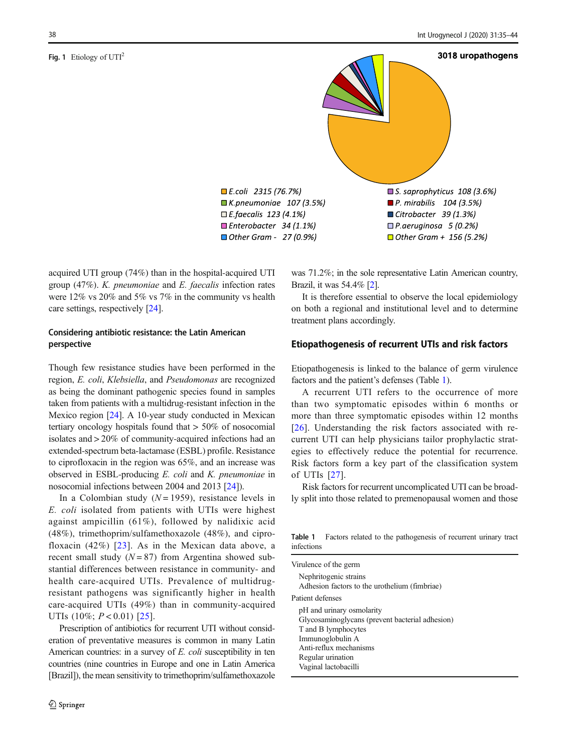#### <span id="page-3-0"></span>Fig. 1 Etiology of  $UTI<sup>2</sup>$



acquired UTI group (74%) than in the hospital-acquired UTI group (47%). K. pneumoniae and E. faecalis infection rates were 12% vs 20% and 5% vs 7% in the community vs health care settings, respectively [\[24](#page-8-0)].

## Considering antibiotic resistance: the Latin American perspective

Though few resistance studies have been performed in the region, E. coli, Klebsiella, and Pseudomonas are recognized as being the dominant pathogenic species found in samples taken from patients with a multidrug-resistant infection in the Mexico region [\[24\]](#page-8-0). A 10-year study conducted in Mexican tertiary oncology hospitals found that > 50% of nosocomial isolates and > 20% of community-acquired infections had an extended-spectrum beta-lactamase (ESBL) profile. Resistance to ciprofloxacin in the region was 65%, and an increase was observed in ESBL-producing E. coli and K. pneumoniae in nosocomial infections between 2004 and 2013 [\[24](#page-8-0)]).

In a Colombian study  $(N = 1959)$ , resistance levels in E. coli isolated from patients with UTIs were highest against ampicillin (61%), followed by nalidixic acid (48%), trimethoprim/sulfamethoxazole (48%), and ciprofloxacin  $(42\%)$  [[23\]](#page-8-0). As in the Mexican data above, a recent small study  $(N = 87)$  from Argentina showed substantial differences between resistance in community- and health care-acquired UTIs. Prevalence of multidrugresistant pathogens was significantly higher in health care-acquired UTIs (49%) than in community-acquired UTIs  $(10\%; P < 0.01)$  [[25](#page-8-0)].

Prescription of antibiotics for recurrent UTI without consideration of preventative measures is common in many Latin American countries: in a survey of E. coli susceptibility in ten countries (nine countries in Europe and one in Latin America [Brazil]), the mean sensitivity to trimethoprim/sulfamethoxazole was 71.2%; in the sole representative Latin American country, Brazil, it was 54.4% [[2](#page-8-0)].

It is therefore essential to observe the local epidemiology on both a regional and institutional level and to determine treatment plans accordingly.

## Etiopathogenesis of recurrent UTIs and risk factors

Etiopathogenesis is linked to the balance of germ virulence factors and the patient's defenses (Table 1).

A recurrent UTI refers to the occurrence of more than two symptomatic episodes within 6 months or more than three symptomatic episodes within 12 months [\[26\]](#page-8-0). Understanding the risk factors associated with recurrent UTI can help physicians tailor prophylactic strategies to effectively reduce the potential for recurrence. Risk factors form a key part of the classification system of UTIs [[27\]](#page-8-0).

Risk factors for recurrent uncomplicated UTI can be broadly split into those related to premenopausal women and those

Table 1 Factors related to the pathogenesis of recurrent urinary tract infections

| Virulence of the germ                           |
|-------------------------------------------------|
| Nephritogenic strains                           |
| Adhesion factors to the urothelium (fimbriae)   |
| Patient defenses                                |
| pH and urinary osmolarity                       |
| Glycosaminoglycans (prevent bacterial adhesion) |
| T and B lymphocytes                             |
| Immunoglobulin A                                |
| Anti-reflux mechanisms                          |
| Regular urination                               |
| Vaginal lactobacilli                            |
|                                                 |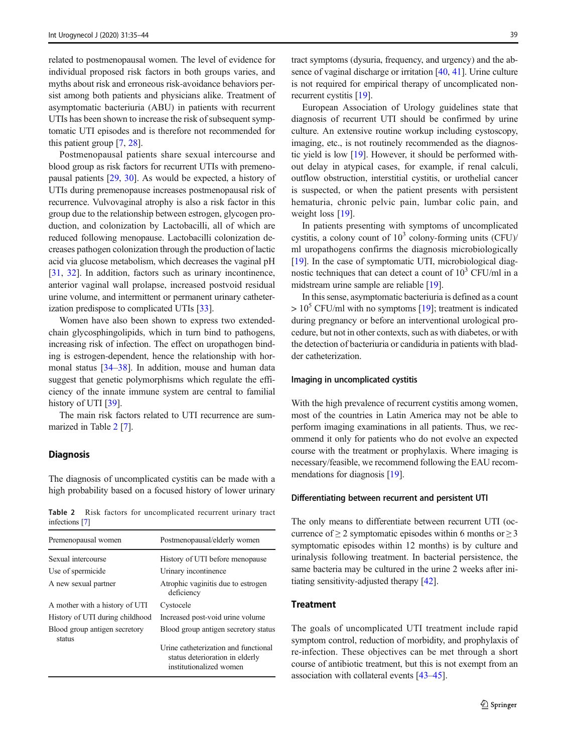related to postmenopausal women. The level of evidence for individual proposed risk factors in both groups varies, and myths about risk and erroneous risk-avoidance behaviors persist among both patients and physicians alike. Treatment of asymptomatic bacteriuria (ABU) in patients with recurrent UTIs has been shown to increase the risk of subsequent symptomatic UTI episodes and is therefore not recommended for this patient group [[7,](#page-8-0) [28\]](#page-8-0).

Postmenopausal patients share sexual intercourse and blood group as risk factors for recurrent UTIs with premenopausal patients [\[29](#page-8-0), [30](#page-8-0)]. As would be expected, a history of UTIs during premenopause increases postmenopausal risk of recurrence. Vulvovaginal atrophy is also a risk factor in this group due to the relationship between estrogen, glycogen production, and colonization by Lactobacilli, all of which are reduced following menopause. Lactobacilli colonization decreases pathogen colonization through the production of lactic acid via glucose metabolism, which decreases the vaginal pH [\[31](#page-8-0), [32](#page-8-0)]. In addition, factors such as urinary incontinence, anterior vaginal wall prolapse, increased postvoid residual urine volume, and intermittent or permanent urinary catheterization predispose to complicated UTIs [[33](#page-8-0)].

Women have also been shown to express two extendedchain glycosphingolipids, which in turn bind to pathogens, increasing risk of infection. The effect on uropathogen binding is estrogen-dependent, hence the relationship with hormonal status [[34](#page-8-0)–[38\]](#page-9-0). In addition, mouse and human data suggest that genetic polymorphisms which regulate the efficiency of the innate immune system are central to familial history of UTI [\[39\]](#page-9-0).

The main risk factors related to UTI recurrence are summarized in Table 2 [[7\]](#page-8-0).

## **Diagnosis**

The diagnosis of uncomplicated cystitis can be made with a high probability based on a focused history of lower urinary

Table 2 Risk factors for uncomplicated recurrent urinary tract infections [\[7](#page-8-0)]

| Premenopausal women                     | Postmenopausal/elderly women                                                                       |
|-----------------------------------------|----------------------------------------------------------------------------------------------------|
| Sexual intercourse                      | History of UTI before menopause                                                                    |
| Use of spermicide                       | Urinary incontinence                                                                               |
| A new sexual partner                    | Atrophic vaginitis due to estrogen<br>deficiency                                                   |
| A mother with a history of UTI          | Cystocele                                                                                          |
| History of UTI during childhood         | Increased post-void urine volume                                                                   |
| Blood group antigen secretory<br>status | Blood group antigen secretory status                                                               |
|                                         | Urine catheterization and functional<br>status deterioration in elderly<br>institutionalized women |

tract symptoms (dysuria, frequency, and urgency) and the absence of vaginal discharge or irritation [\[40](#page-9-0), [41\]](#page-9-0). Urine culture is not required for empirical therapy of uncomplicated nonrecurrent cystitis [\[19](#page-8-0)].

European Association of Urology guidelines state that diagnosis of recurrent UTI should be confirmed by urine culture. An extensive routine workup including cystoscopy, imaging, etc., is not routinely recommended as the diagnostic yield is low [[19](#page-8-0)]. However, it should be performed without delay in atypical cases, for example, if renal calculi, outflow obstruction, interstitial cystitis, or urothelial cancer is suspected, or when the patient presents with persistent hematuria, chronic pelvic pain, lumbar colic pain, and weight loss [[19](#page-8-0)].

In patients presenting with symptoms of uncomplicated cystitis, a colony count of  $10<sup>3</sup>$  colony-forming units (CFU)/ ml uropathogens confirms the diagnosis microbiologically [\[19](#page-8-0)]. In the case of symptomatic UTI, microbiological diagnostic techniques that can detect a count of  $10<sup>3</sup>$  CFU/ml in a midstream urine sample are reliable [[19\]](#page-8-0).

In this sense, asymptomatic bacteriuria is defined as a count  $> 10<sup>5</sup>$  CFU/ml with no symptoms [[19\]](#page-8-0); treatment is indicated during pregnancy or before an interventional urological procedure, but not in other contexts, such as with diabetes, or with the detection of bacteriuria or candiduria in patients with bladder catheterization.

## Imaging in uncomplicated cystitis

With the high prevalence of recurrent cystitis among women, most of the countries in Latin America may not be able to perform imaging examinations in all patients. Thus, we recommend it only for patients who do not evolve an expected course with the treatment or prophylaxis. Where imaging is necessary/feasible, we recommend following the EAU recom-mendations for diagnosis [[19](#page-8-0)].

#### Differentiating between recurrent and persistent UTI

The only means to differentiate between recurrent UTI (occurrence of  $\geq 2$  symptomatic episodes within 6 months or  $\geq 3$ symptomatic episodes within 12 months) is by culture and urinalysis following treatment. In bacterial persistence, the same bacteria may be cultured in the urine 2 weeks after initiating sensitivity-adjusted therapy [\[42](#page-9-0)].

## **Treatment**

The goals of uncomplicated UTI treatment include rapid symptom control, reduction of morbidity, and prophylaxis of re-infection. These objectives can be met through a short course of antibiotic treatment, but this is not exempt from an association with collateral events [\[43](#page-9-0)–[45\]](#page-9-0).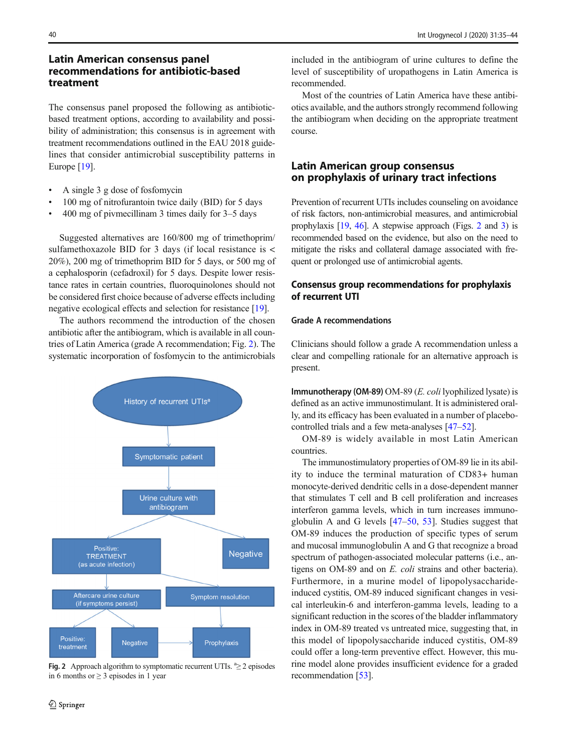# Latin American consensus panel recommendations for antibiotic-based treatment

The consensus panel proposed the following as antibioticbased treatment options, according to availability and possibility of administration; this consensus is in agreement with treatment recommendations outlined in the EAU 2018 guidelines that consider antimicrobial susceptibility patterns in Europe [[19\]](#page-8-0).

- & A single 3 g dose of fosfomycin
- 100 mg of nitrofurantoin twice daily (BID) for 5 days
- & 400 mg of pivmecillinam 3 times daily for 3–5 days

Suggested alternatives are 160/800 mg of trimethoprim/ sulfamethoxazole BID for 3 days (if local resistance is < 20%), 200 mg of trimethoprim BID for 5 days, or 500 mg of a cephalosporin (cefadroxil) for 5 days. Despite lower resistance rates in certain countries, fluoroquinolones should not be considered first choice because of adverse effects including negative ecological effects and selection for resistance [[19](#page-8-0)].

The authors recommend the introduction of the chosen antibiotic after the antibiogram, which is available in all countries of Latin America (grade A recommendation; Fig. 2). The systematic incorporation of fosfomycin to the antimicrobials



Fig. 2 Approach algorithm to symptomatic recurrent UTIs.  $a \geq 2$  episodes in 6 months or  $\geq$  3 episodes in 1 year

included in the antibiogram of urine cultures to define the level of susceptibility of uropathogens in Latin America is recommended.

Most of the countries of Latin America have these antibiotics available, and the authors strongly recommend following the antibiogram when deciding on the appropriate treatment course.

# Latin American group consensus on prophylaxis of urinary tract infections

Prevention of recurrent UTIs includes counseling on avoidance of risk factors, non-antimicrobial measures, and antimicrobial prophylaxis [\[19,](#page-8-0) [46](#page-9-0)]. A stepwise approach (Figs. 2 and [3](#page-6-0)) is recommended based on the evidence, but also on the need to mitigate the risks and collateral damage associated with frequent or prolonged use of antimicrobial agents.

## Consensus group recommendations for prophylaxis of recurrent UTI

## Grade A recommendations

Clinicians should follow a grade A recommendation unless a clear and compelling rationale for an alternative approach is present.

Immunotherapy (OM-89)  $OM-89$  (*E. coli* lyophilized lysate) is defined as an active immunostimulant. It is administered orally, and its efficacy has been evaluated in a number of placebocontrolled trials and a few meta-analyses [[47](#page-9-0)–[52](#page-9-0)].

OM-89 is widely available in most Latin American countries.

The immunostimulatory properties of OM-89 lie in its ability to induce the terminal maturation of CD83+ human monocyte-derived dendritic cells in a dose-dependent manner that stimulates T cell and B cell proliferation and increases interferon gamma levels, which in turn increases immunoglobulin A and G levels [[47](#page-9-0)–[50,](#page-9-0) [53\]](#page-9-0). Studies suggest that OM-89 induces the production of specific types of serum and mucosal immunoglobulin A and G that recognize a broad spectrum of pathogen-associated molecular patterns (i.e., antigens on OM-89 and on E. coli strains and other bacteria). Furthermore, in a murine model of lipopolysaccharideinduced cystitis, OM-89 induced significant changes in vesical interleukin-6 and interferon-gamma levels, leading to a significant reduction in the scores of the bladder inflammatory index in OM-89 treated vs untreated mice, suggesting that, in this model of lipopolysaccharide induced cystitis, OM-89 could offer a long-term preventive effect. However, this murine model alone provides insufficient evidence for a graded recommendation [\[53\]](#page-9-0).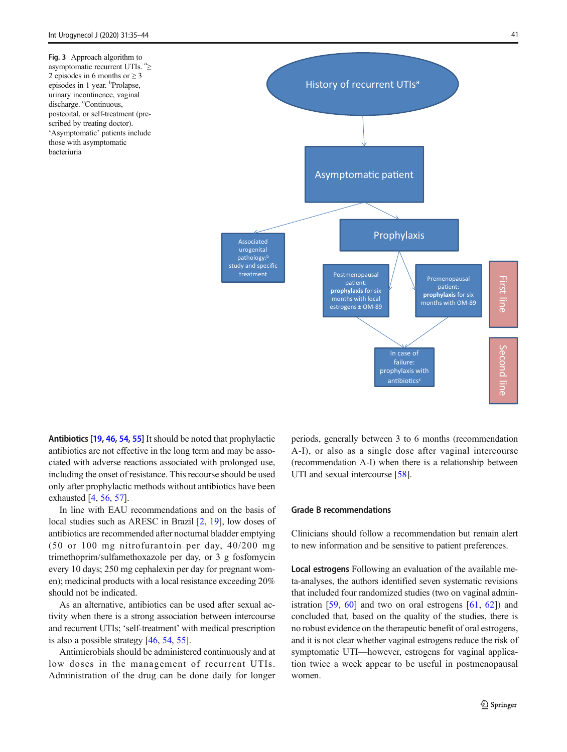<span id="page-6-0"></span>Fig. 3 Approach algorithm to asymptomatic recurrent UTIs. <sup>a</sup>≥ 2 episodes in 6 months or ≥ 3 episodes in 1 year. <sup>b</sup>Prolapse, urinary incontinence, vaginal discharge. <sup>c</sup>Continuous, postcoital, or self-treatment (prescribed by treating doctor). 'Asymptomatic' patients include those with asymptomatic bacteriuria



Antibiotics [[19](#page-8-0), [46,](#page-9-0) [54,](#page-9-0) [55\]](#page-9-0) It should be noted that prophylactic antibiotics are not effective in the long term and may be associated with adverse reactions associated with prolonged use, including the onset of resistance. This recourse should be used only after prophylactic methods without antibiotics have been exhausted [[4](#page-8-0), [56](#page-9-0), [57](#page-9-0)].

In line with EAU recommendations and on the basis of local studies such as ARESC in Brazil [[2,](#page-8-0) [19\]](#page-8-0), low doses of antibiotics are recommended after nocturnal bladder emptying (50 or 100 mg nitrofurantoin per day, 40/200 mg trimethoprim/sulfamethoxazole per day, or 3 g fosfomycin every 10 days; 250 mg cephalexin per day for pregnant women); medicinal products with a local resistance exceeding 20% should not be indicated.

As an alternative, antibiotics can be used after sexual activity when there is a strong association between intercourse and recurrent UTIs; 'self-treatment' with medical prescription is also a possible strategy [[46,](#page-9-0) [54](#page-9-0), [55](#page-9-0)].

Antimicrobials should be administered continuously and at low doses in the management of recurrent UTIs. Administration of the drug can be done daily for longer periods, generally between 3 to 6 months (recommendation A-I), or also as a single dose after vaginal intercourse (recommendation A-I) when there is a relationship between UTI and sexual intercourse [[58](#page-9-0)].

## Grade B recommendations

Clinicians should follow a recommendation but remain alert to new information and be sensitive to patient preferences.

Local estrogens Following an evaluation of the available meta-analyses, the authors identified seven systematic revisions that included four randomized studies (two on vaginal administration  $[59, 60]$  $[59, 60]$  $[59, 60]$  $[59, 60]$  and two on oral estrogens  $[61, 62]$  $[61, 62]$  $[61, 62]$ ) and concluded that, based on the quality of the studies, there is no robust evidence on the therapeutic benefit of oral estrogens, and it is not clear whether vaginal estrogens reduce the risk of symptomatic UTI—however, estrogens for vaginal application twice a week appear to be useful in postmenopausal women.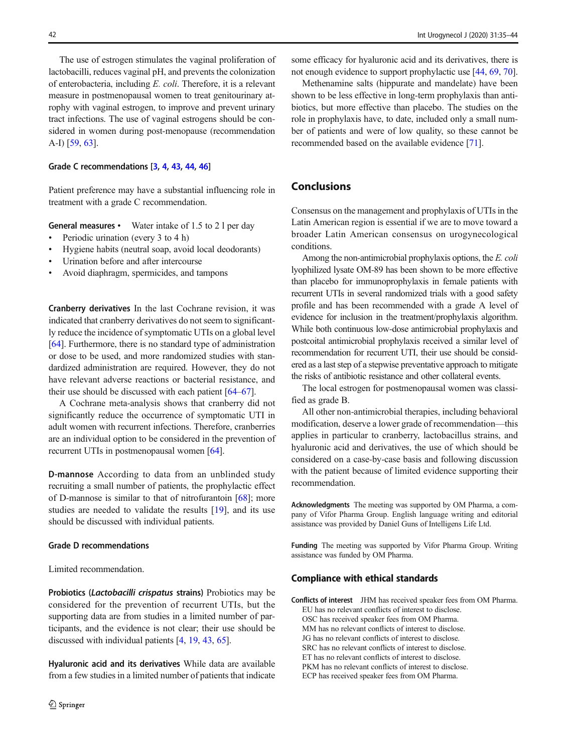The use of estrogen stimulates the vaginal proliferation of lactobacilli, reduces vaginal pH, and prevents the colonization of enterobacteria, including E. coli. Therefore, it is a relevant measure in postmenopausal women to treat genitourinary atrophy with vaginal estrogen, to improve and prevent urinary tract infections. The use of vaginal estrogens should be considered in women during post-menopause (recommendation A-I) [\[59](#page-9-0), [63\]](#page-9-0).

## Grade C recommendations [[3,](#page-8-0) [4](#page-8-0), [43,](#page-9-0) [44](#page-9-0), [46\]](#page-9-0)

Patient preference may have a substantial influencing role in treatment with a grade C recommendation.

General measures • Water intake of 1.5 to 2 l per day

- Periodic urination (every 3 to 4 h)
- & Hygiene habits (neutral soap, avoid local deodorants)
- Urination before and after intercourse
- & Avoid diaphragm, spermicides, and tampons

Cranberry derivatives In the last Cochrane revision, it was indicated that cranberry derivatives do not seem to significantly reduce the incidence of symptomatic UTIs on a global level [\[64\]](#page-9-0). Furthermore, there is no standard type of administration or dose to be used, and more randomized studies with standardized administration are required. However, they do not have relevant adverse reactions or bacterial resistance, and their use should be discussed with each patient [\[64](#page-9-0)–[67\]](#page-9-0).

A Cochrane meta-analysis shows that cranberry did not significantly reduce the occurrence of symptomatic UTI in adult women with recurrent infections. Therefore, cranberries are an individual option to be considered in the prevention of recurrent UTIs in postmenopausal women [[64](#page-9-0)].

D-mannose According to data from an unblinded study recruiting a small number of patients, the prophylactic effect of D-mannose is similar to that of nitrofurantoin [\[68](#page-9-0)]; more studies are needed to validate the results [\[19](#page-8-0)], and its use should be discussed with individual patients.

### Grade D recommendations

Limited recommendation.

Probiotics (Lactobacilli crispatus strains) Probiotics may be considered for the prevention of recurrent UTIs, but the supporting data are from studies in a limited number of participants, and the evidence is not clear; their use should be discussed with individual patients [\[4](#page-8-0), [19,](#page-8-0) [43,](#page-9-0) [65\]](#page-9-0).

Hyaluronic acid and its derivatives While data are available from a few studies in a limited number of patients that indicate some efficacy for hyaluronic acid and its derivatives, there is not enough evidence to support prophylactic use [[44](#page-9-0), [69,](#page-9-0) [70\]](#page-9-0).

Methenamine salts (hippurate and mandelate) have been shown to be less effective in long-term prophylaxis than antibiotics, but more effective than placebo. The studies on the role in prophylaxis have, to date, included only a small number of patients and were of low quality, so these cannot be recommended based on the available evidence [\[71\]](#page-9-0).

# Conclusions

Consensus on the management and prophylaxis of UTIs in the Latin American region is essential if we are to move toward a broader Latin American consensus on urogynecological conditions.

Among the non-antimicrobial prophylaxis options, the E. coli lyophilized lysate OM-89 has been shown to be more effective than placebo for immunoprophylaxis in female patients with recurrent UTIs in several randomized trials with a good safety profile and has been recommended with a grade A level of evidence for inclusion in the treatment/prophylaxis algorithm. While both continuous low-dose antimicrobial prophylaxis and postcoital antimicrobial prophylaxis received a similar level of recommendation for recurrent UTI, their use should be considered as a last step of a stepwise preventative approach to mitigate the risks of antibiotic resistance and other collateral events.

The local estrogen for postmenopausal women was classified as grade B.

All other non-antimicrobial therapies, including behavioral modification, deserve a lower grade of recommendation—this applies in particular to cranberry, lactobacillus strains, and hyaluronic acid and derivatives, the use of which should be considered on a case-by-case basis and following discussion with the patient because of limited evidence supporting their recommendation.

Acknowledgments The meeting was supported by OM Pharma, a company of Vifor Pharma Group. English language writing and editorial assistance was provided by Daniel Guns of Intelligens Life Ltd.

Funding The meeting was supported by Vifor Pharma Group. Writing assistance was funded by OM Pharma.

#### Compliance with ethical standards

Conflicts of interest JHM has received speaker fees from OM Pharma. EU has no relevant conflicts of interest to disclose. OSC has received speaker fees from OM Pharma.

MM has no relevant conflicts of interest to disclose. JG has no relevant conflicts of interest to disclose.

SRC has no relevant conflicts of interest to disclose.

ET has no relevant conflicts of interest to disclose.

PKM has no relevant conflicts of interest to disclose.

ECP has received speaker fees from OM Pharma.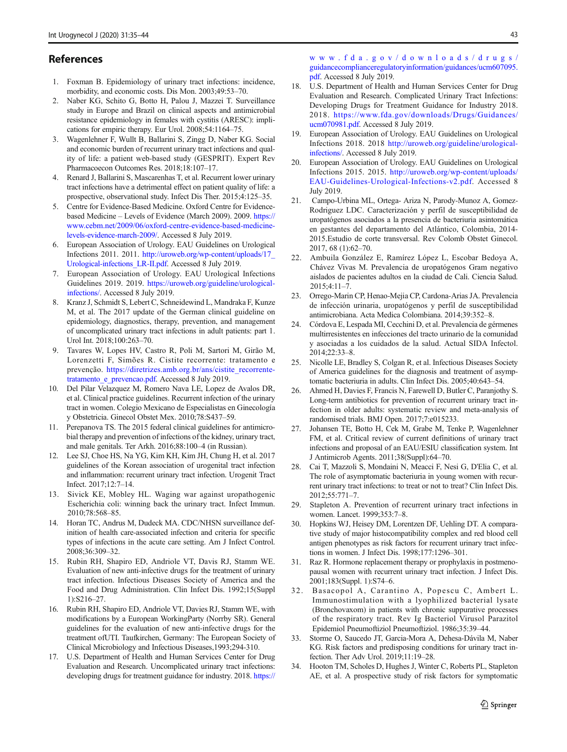## <span id="page-8-0"></span>References

- 1. Foxman B. Epidemiology of urinary tract infections: incidence, morbidity, and economic costs. Dis Mon. 2003;49:53–70.
- 2. Naber KG, Schito G, Botto H, Palou J, Mazzei T. Surveillance study in Europe and Brazil on clinical aspects and antimicrobial resistance epidemiology in females with cystitis (ARESC): implications for empiric therapy. Eur Urol. 2008;54:1164–75.
- 3. Wagenlehner F, Wullt B, Ballarini S, Zingg D, Naber KG. Social and economic burden of recurrent urinary tract infections and quality of life: a patient web-based study (GESPRIT). Expert Rev Pharmacoecon Outcomes Res. 2018;18:107–17.
- 4. Renard J, Ballarini S, Mascarenhas T, et al. Recurrent lower urinary tract infections have a detrimental effect on patient quality of life: a prospective, observational study. Infect Dis Ther. 2015;4:125–35.
- 5. Centre for Evidence-Based Medicine. Oxford Centre for Evidencebased Medicine – Levels of Evidence (March 2009). 2009. [https://](https://www.cebm.net/2009/06/oxford-centre-evidence-based-medicine-levels-evidence-march-2009/) [www.cebm.net/2009/06/oxford-centre-evidence-based-medicine](https://www.cebm.net/2009/06/oxford-centre-evidence-based-medicine-levels-evidence-march-2009/)[levels-evidence-march-2009/](https://www.cebm.net/2009/06/oxford-centre-evidence-based-medicine-levels-evidence-march-2009/). Accessed 8 July 2019.
- 6. European Association of Urology. EAU Guidelines on Urological Infections 2011. 2011. [http://uroweb.org/wp-content/uploads/17\\_](http://uroweb.org/wp-content/uploads/17_Urological-infections_LR-II.pdf) [Urological-infections\\_LR-II.pdf](http://uroweb.org/wp-content/uploads/17_Urological-infections_LR-II.pdf). Accessed 8 July 2019.
- 7. European Association of Urology. EAU Urological Infections Guidelines 2019. 2019. [https://uroweb.org/guideline/urological](https://uroweb.org/guideline/urological-infections/)[infections/.](https://uroweb.org/guideline/urological-infections/) Accessed 8 July 2019.
- 8. Kranz J, Schmidt S, Lebert C, Schneidewind L, Mandraka F, Kunze M, et al. The 2017 update of the German clinical guideline on epidemiology, diagnostics, therapy, prevention, and management of uncomplicated urinary tract infections in adult patients: part 1. Urol Int. 2018;100:263–70.
- 9. Tavares W, Lopes HV, Castro R, Poli M, Sartori M, Girão M, Lorenzetti F, Simões R. Cistite recorrente: tratamento e prevenção. [https://diretrizes.amb.org.br/ans/cistite\\_recorrente](https://diretrizes.amb.org.br/ans/cistite_recorrente-tratamento_e_prevencao.pdf)tratamento e prevencao.pdf. Accessed 8 July 2019.
- 10. Del Pilar Velazquez M, Romero Nava LE, Lopez de Avalos DR, et al. Clinical practice guidelines. Recurrent infection of the urinary tract in women. Colegio Mexicano de Especialistas en Ginecología y Obstetricia. Ginecol Obstet Mex. 2010;78:S437–59.
- 11. Perepanova TS. The 2015 federal clinical guidelines for antimicrobial therapy and prevention of infections of the kidney, urinary tract, and male genitals. Ter Arkh. 2016;88:100–4 (in Russian).
- 12. Lee SJ, Choe HS, Na YG, Kim KH, Kim JH, Chung H, et al. 2017 guidelines of the Korean association of urogenital tract infection and inflammation: recurrent urinary tract infection. Urogenit Tract Infect. 2017;12:7–14.
- 13. Sivick KE, Mobley HL. Waging war against uropathogenic Escherichia coli: winning back the urinary tract. Infect Immun. 2010;78:568–85.
- 14. Horan TC, Andrus M, Dudeck MA. CDC/NHSN surveillance definition of health care-associated infection and criteria for specific types of infections in the acute care setting. Am J Infect Control. 2008;36:309–32.
- 15. Rubin RH, Shapiro ED, Andriole VT, Davis RJ, Stamm WE. Evaluation of new anti-infective drugs for the treatment of urinary tract infection. Infectious Diseases Society of America and the Food and Drug Administration. Clin Infect Dis. 1992;15(Suppl 1):S216–27.
- 16. Rubin RH, Shapiro ED, Andriole VT, Davies RJ, Stamm WE, with modifications by a European WorkingParty (Norrby SR). General guidelines for the evaluation of new anti-infective drugs for the treatment ofUTI. Taufkirchen, Germany: The European Society of Clinical Microbiology and Infectious Diseases,1993;294-310.
- 17. U.S. Department of Health and Human Services Center for Drug Evaluation and Research. Uncomplicated urinary tract infections: developing drugs for treatment guidance for industry. 2018. [https://](https://www.fda.gov/downloads/drugs/guidancecomplianceregulatoryinformation/guidances/ucm607095.pdf)

[www.fda.gov/downloads/drugs/](https://www.fda.gov/downloads/drugs/guidancecomplianceregulatoryinformation/guidances/ucm607095.pdf) [guidancecomplianceregulatoryinformation/guidances/ucm607095.](https://www.fda.gov/downloads/drugs/guidancecomplianceregulatoryinformation/guidances/ucm607095.pdf) [pdf](https://www.fda.gov/downloads/drugs/guidancecomplianceregulatoryinformation/guidances/ucm607095.pdf). Accessed 8 July 2019.

- 18. U.S. Department of Health and Human Services Center for Drug Evaluation and Research. Complicated Urinary Tract Infections: Developing Drugs for Treatment Guidance for Industry 2018. 2018. [https://www.fda.gov/downloads/Drugs/Guidances/](https://www.fda.gov/downloads/Drugs/Guidances/ucm070981.pdf) [ucm070981.pdf](https://www.fda.gov/downloads/Drugs/Guidances/ucm070981.pdf). Accessed 8 July 2019.
- European Association of Urology. EAU Guidelines on Urological Infections 2018. 2018 [http://uroweb.org/guideline/urological](http://uroweb.org/guideline/urological-infections/)[infections/](http://uroweb.org/guideline/urological-infections/). Accessed 8 July 2019.
- European Association of Urology. EAU Guidelines on Urological Infections 2015. 2015. [http://uroweb.org/wp-content/uploads/](http://uroweb.org/wp-content/uploads/EAU-Guidelines-Urological-Infections-v2.pdf) [EAU-Guidelines-Urological-Infections-v2.pdf.](http://uroweb.org/wp-content/uploads/EAU-Guidelines-Urological-Infections-v2.pdf) Accessed 8 July 2019.
- 21. Campo-Urbina ML, Ortega- Ariza N, Parody-Munoz A, Gomez-Rodriguez LDC. Caracterización y perfil de susceptibilidad de uropatógenos asociados a la presencia de bacteriuria asintomática en gestantes del departamento del Atlántico, Colombia, 2014- 2015.Estudio de corte transversal. Rev Colomb Obstet Ginecol. 2017, 68 (1):62–70.
- 22. Ambuila González E, Ramírez López L, Escobar Bedoya A, Chávez Vivas M. Prevalencia de uropatógenos Gram negativo aislados de pacientes adultos en la ciudad de Cali. Ciencia Salud. 2015;4:11–7.
- 23. Orrego-Marin CP, Henao-Mejia CP, Cardona-Arias JA. Prevalencia de infección urinaria, uropatógenos y perfil de susceptibilidad antimicrobiana. Acta Medica Colombiana. 2014;39:352–8.
- 24. Córdova E, Lespada MI, Cecchini D, et al. Prevalencia de gérmenes multirresistentes en infecciones del tracto urinario de la comunidad y asociadas a los cuidados de la salud. Actual SIDA Infectol. 2014;22:33–8.
- 25. Nicolle LE, Bradley S, Colgan R, et al. Infectious Diseases Society of America guidelines for the diagnosis and treatment of asymptomatic bacteriuria in adults. Clin Infect Dis. 2005;40:643–54.
- 26. Ahmed H, Davies F, Francis N, Farewell D, Butler C, Paranjothy S. Long-term antibiotics for prevention of recurrent urinary tract infection in older adults: systematic review and meta-analysis of randomised trials. BMJ Open. 2017;7:e015233.
- 27. Johansen TE, Botto H, Cek M, Grabe M, Tenke P, Wagenlehner FM, et al. Critical review of current definitions of urinary tract infections and proposal of an EAU/ESIU classification system. Int J Antimicrob Agents. 2011;38(Suppl):64–70.
- 28. Cai T, Mazzoli S, Mondaini N, Meacci F, Nesi G, D'Elia C, et al. The role of asymptomatic bacteriuria in young women with recurrent urinary tract infections: to treat or not to treat? Clin Infect Dis. 2012;55:771–7.
- 29. Stapleton A. Prevention of recurrent urinary tract infections in women. Lancet. 1999;353:7–8.
- 30. Hopkins WJ, Heisey DM, Lorentzen DF, Uehling DT. A comparative study of major histocompatibility complex and red blood cell antigen phenotypes as risk factors for recurrent urinary tract infections in women. J Infect Dis. 1998;177:1296–301.
- 31. Raz R. Hormone replacement therapy or prophylaxis in postmenopausal women with recurrent urinary tract infection. J Infect Dis. 2001;183(Suppl. 1):S74–6.
- 32. Basacopol A, Carantino A, Popescu C, Ambert L. Immunostimulation with a lyophilized bacterial lysate (Bronchovaxom) in patients with chronic suppurative processes of the respiratory tract. Rev Ig Bacteriol Virusol Parazitol Epidemiol Pneumoftiziol Pneumoftiziol. 1986;35:39–44.
- 33. Storme O, Saucedo JT, Garcia-Mora A, Dehesa-Dávila M, Naber KG. Risk factors and predisposing conditions for urinary tract infection. Ther Adv Urol. 2019;11:19–28.
- 34. Hooton TM, Scholes D, Hughes J, Winter C, Roberts PL, Stapleton AE, et al. A prospective study of risk factors for symptomatic